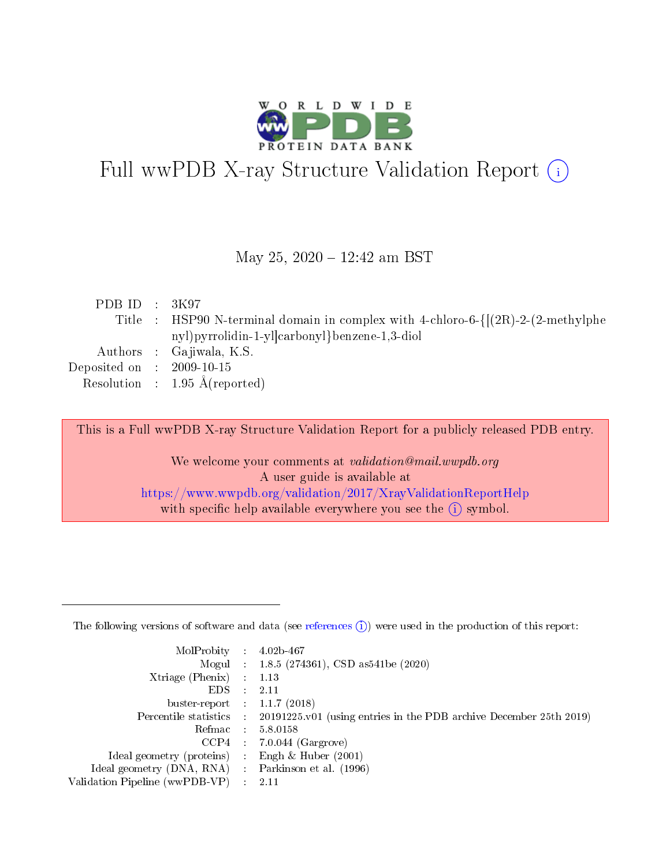

# Full wwPDB X-ray Structure Validation Report (i)

#### May 25, 2020 - 12:42 am BST

| PDB ID : $3K97$             |                                                                                                                    |
|-----------------------------|--------------------------------------------------------------------------------------------------------------------|
|                             | Title : HSP90 N-terminal domain in complex with 4-chloro-6- $\frac{[(2R)-2-(2-methylphe)}{[(2R)-2-(2-methylphe)]}$ |
|                             | nyl) pyrrolidin-1-yl carbonyl } benzene-1,3-diol                                                                   |
|                             | Authors : Gajiwala, K.S.                                                                                           |
| Deposited on : $2009-10-15$ |                                                                                                                    |
|                             | Resolution : $1.95 \text{ Å}$ (reported)                                                                           |

This is a Full wwPDB X-ray Structure Validation Report for a publicly released PDB entry.

We welcome your comments at validation@mail.wwpdb.org A user guide is available at <https://www.wwpdb.org/validation/2017/XrayValidationReportHelp> with specific help available everywhere you see the  $(i)$  symbol.

The following versions of software and data (see [references](https://www.wwpdb.org/validation/2017/XrayValidationReportHelp#references)  $(1)$ ) were used in the production of this report:

| MolProbity :                   |               | $4.02b - 467$                                                               |
|--------------------------------|---------------|-----------------------------------------------------------------------------|
|                                |               | Mogul : $1.8.5$ (274361), CSD as 541be (2020)                               |
| Xtriage (Phenix)               | $\mathcal{L}$ | 1.13                                                                        |
| EDS.                           |               | 2.11                                                                        |
| buster-report : $1.1.7$ (2018) |               |                                                                             |
| Percentile statistics :        |               | $20191225 \text{v}01$ (using entries in the PDB archive December 25th 2019) |
| Refmac :                       |               | 5.8.0158                                                                    |
| CCP4                           |               | $7.0.044$ (Gargrove)                                                        |
| Ideal geometry (proteins) :    |               | Engh & Huber $(2001)$                                                       |
| Ideal geometry (DNA, RNA) :    |               | Parkinson et al. (1996)                                                     |
| Validation Pipeline (wwPDB-VP) | $\mathcal{L}$ | 2.11                                                                        |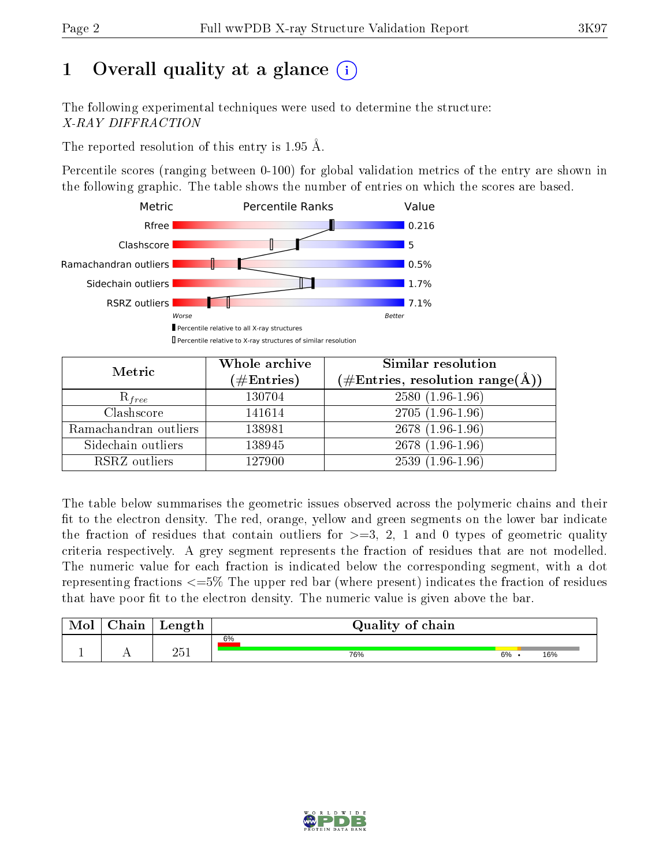# 1 [O](https://www.wwpdb.org/validation/2017/XrayValidationReportHelp#overall_quality)verall quality at a glance  $(i)$

The following experimental techniques were used to determine the structure: X-RAY DIFFRACTION

The reported resolution of this entry is 1.95 Å.

Percentile scores (ranging between 0-100) for global validation metrics of the entry are shown in the following graphic. The table shows the number of entries on which the scores are based.



| Metric                | Whole archive<br>$(\#\text{Entries})$ | <b>Similar resolution</b><br>$(\#\text{Entries},\,\text{resolution}\,\,\text{range}(\textup{\AA}))$ |
|-----------------------|---------------------------------------|-----------------------------------------------------------------------------------------------------|
| $R_{free}$            | 130704                                | $2580(1.96-1.96)$                                                                                   |
| Clashscore            | 141614                                | $2705(1.96-1.96)$                                                                                   |
| Ramachandran outliers | 138981                                | $2678(1.96-1.96)$                                                                                   |
| Sidechain outliers    | 138945                                | 2678 (1.96-1.96)                                                                                    |
| RSRZ outliers         | 127900                                | $2539(1.96-1.96)$                                                                                   |

The table below summarises the geometric issues observed across the polymeric chains and their fit to the electron density. The red, orange, yellow and green segments on the lower bar indicate the fraction of residues that contain outliers for  $>=3, 2, 1$  and 0 types of geometric quality criteria respectively. A grey segment represents the fraction of residues that are not modelled. The numeric value for each fraction is indicated below the corresponding segment, with a dot representing fractions  $\epsilon=5\%$  The upper red bar (where present) indicates the fraction of residues that have poor fit to the electron density. The numeric value is given above the bar.

| Mol           | hain | Length | Quality of chain |    |     |
|---------------|------|--------|------------------|----|-----|
|               |      |        | 6%               |    |     |
| <u>. на п</u> | . .  | າ≍1    | 76%              | 6% | 16% |

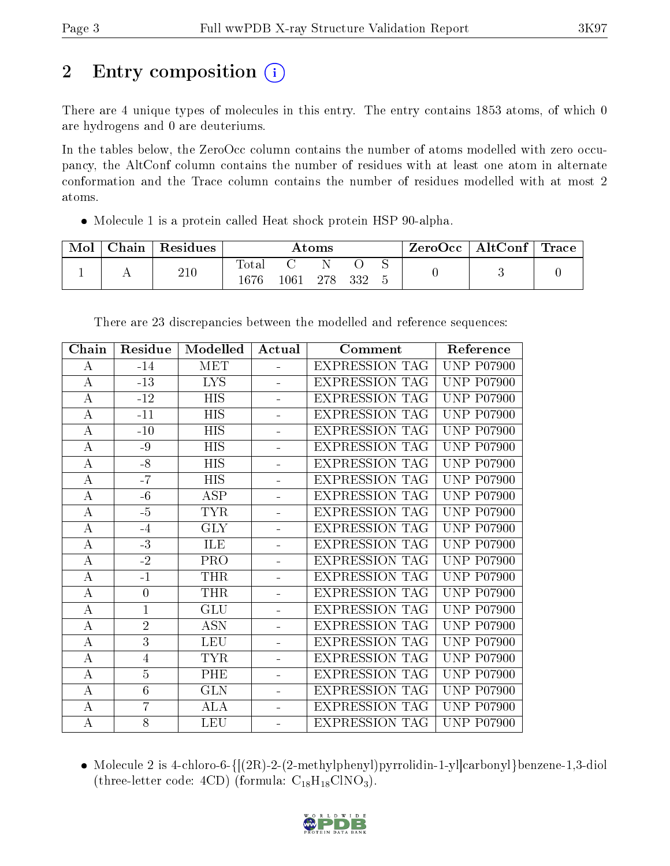# 2 Entry composition  $\left( \cdot \right)$

There are 4 unique types of molecules in this entry. The entry contains 1853 atoms, of which 0 are hydrogens and 0 are deuteriums.

In the tables below, the ZeroOcc column contains the number of atoms modelled with zero occupancy, the AltConf column contains the number of residues with at least one atom in alternate conformation and the Trace column contains the number of residues modelled with at most 2 atoms.

Molecule 1 is a protein called Heat shock protein HSP 90-alpha.

| Mol | Chain | $\perp$ Residues |               |      | Atoms |     |  | $\text{ZeroOcc} \mid \text{AltConf} \mid \text{Trace}$ |  |
|-----|-------|------------------|---------------|------|-------|-----|--|--------------------------------------------------------|--|
|     |       | 210              | Total<br>1676 | 1061 | 278   | 332 |  |                                                        |  |

| Chain            | Residue        | Modelled   | Actual                   | Comment               | Reference         |
|------------------|----------------|------------|--------------------------|-----------------------|-------------------|
| A                | $-14$          | <b>MET</b> |                          | <b>EXPRESSION TAG</b> | <b>UNP P07900</b> |
| $\bf{A}$         | $-13$          | LYS.       | $\blacksquare$           | <b>EXPRESSION TAG</b> | <b>UNP P07900</b> |
| $\bf{A}$         | $-12$          | <b>HIS</b> | $\blacksquare$           | <b>EXPRESSION TAG</b> | <b>UNP P07900</b> |
| $\bf{A}$         | $-11$          | <b>HIS</b> | ÷.                       | <b>EXPRESSION TAG</b> | <b>UNP P07900</b> |
| $\overline{A}$   | $-10$          | <b>HIS</b> | $\frac{1}{2}$            | <b>EXPRESSION TAG</b> | <b>UNP P07900</b> |
| А                | -9             | <b>HIS</b> | $\overline{a}$           | <b>EXPRESSION TAG</b> | <b>UNP P07900</b> |
| $\bf{A}$         | $-8$           | <b>HIS</b> | $\overline{\phantom{0}}$ | <b>EXPRESSION TAG</b> | <b>UNP P07900</b> |
| $\boldsymbol{A}$ | $-7$           | <b>HIS</b> | $\blacksquare$           | <b>EXPRESSION TAG</b> | <b>UNP P07900</b> |
| $\bf{A}$         | $-6$           | <b>ASP</b> | ÷.                       | <b>EXPRESSION TAG</b> | <b>UNP P07900</b> |
| $\bf{A}$         | $-5$           | <b>TYR</b> | ÷,                       | <b>EXPRESSION TAG</b> | <b>UNP P07900</b> |
| A                | $-4$           | <b>GLY</b> |                          | <b>EXPRESSION TAG</b> | <b>UNP P07900</b> |
| А                | $-3$           | ILE        | L,                       | <b>EXPRESSION TAG</b> | <b>UNP P07900</b> |
| $\bf{A}$         | $-2$           | PRO        | $\equiv$                 | <b>EXPRESSION TAG</b> | <b>UNP P07900</b> |
| $\bf{A}$         | $-1$           | <b>THR</b> | ÷.                       | <b>EXPRESSION TAG</b> | <b>UNP P07900</b> |
| $\overline{A}$   | $\overline{0}$ | <b>THR</b> | $\equiv$                 | <b>EXPRESSION TAG</b> | <b>UNP P07900</b> |
| $\bf{A}$         | $\mathbf{1}$   | <b>GLU</b> | $\equiv$                 | <b>EXPRESSION TAG</b> | <b>UNP P07900</b> |
| $\bf{A}$         | $\overline{2}$ | <b>ASN</b> | $\equiv$                 | <b>EXPRESSION TAG</b> | <b>UNP P07900</b> |
| $\bf{A}$         | 3              | <b>LEU</b> | $\overline{\phantom{0}}$ | <b>EXPRESSION TAG</b> | <b>UNP P07900</b> |
| $\bf{A}$         | 4              | <b>TYR</b> | L,                       | <b>EXPRESSION TAG</b> | <b>UNP P07900</b> |
| $\bf{A}$         | $\overline{5}$ | PHE        |                          | <b>EXPRESSION TAG</b> | <b>UNP P07900</b> |
| A                | $\overline{6}$ | <b>GLN</b> | ä,                       | <b>EXPRESSION TAG</b> | <b>UNP P07900</b> |
| $\bf{A}$         | $\overline{7}$ | <b>ALA</b> | ÷.                       | <b>EXPRESSION TAG</b> | <b>UNP P07900</b> |
| $\boldsymbol{A}$ | 8              | <b>LEU</b> |                          | <b>EXPRESSION TAG</b> | <b>UNP P07900</b> |

There are 23 discrepancies between the modelled and reference sequences:

• Molecule 2 is 4-chloro-6- $\{[(2R)-2-(2-methylphenyl)pyrrolidin-1-yl]carbonyl\}$ benzene-1,3-diol (three-letter code:  $4CD$ ) (formula:  $C_{18}H_{18}CINO_3$ ).

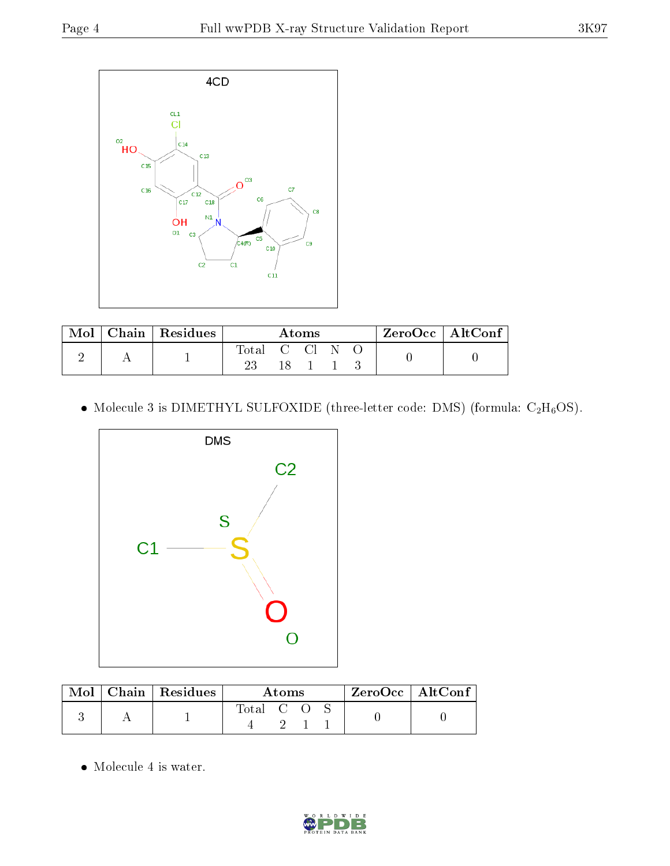

| Mol | Chain   Residues | Atoms      |  |      |  | $\mid$ ZeroOcc $\mid$ AltConf $\mid$ |  |  |
|-----|------------------|------------|--|------|--|--------------------------------------|--|--|
|     |                  | Total C Cl |  |      |  |                                      |  |  |
|     |                  |            |  | 18 1 |  |                                      |  |  |

 $\bullet$  Molecule 3 is DIMETHYL SULFOXIDE (three-letter code: DMS) (formula:  $\rm{C_2H_6OS}.$ 



|  | $\text{Mol}$   Chain   Residues | Atoms     |  |  |  | $\rm ZeroOcc$   Alt $\rm Conf$ |
|--|---------------------------------|-----------|--|--|--|--------------------------------|
|  |                                 | Total C O |  |  |  |                                |

Molecule 4 is water.

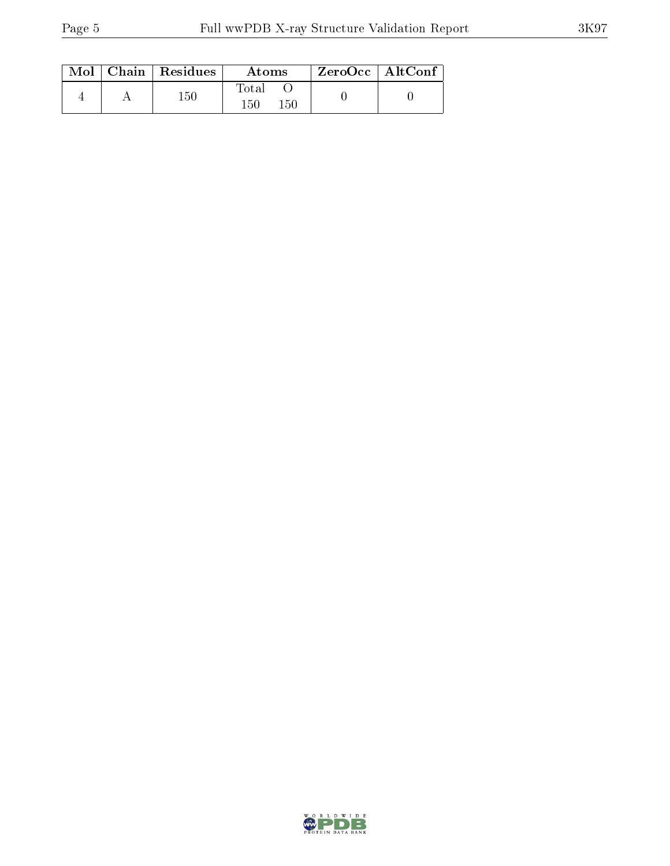|  | $Mol$   Chain   Residues | Atoms                     | $ZeroOcc \mid AltConf$ |  |
|--|--------------------------|---------------------------|------------------------|--|
|  | 150                      | $\rm Total$<br>150<br>150 |                        |  |

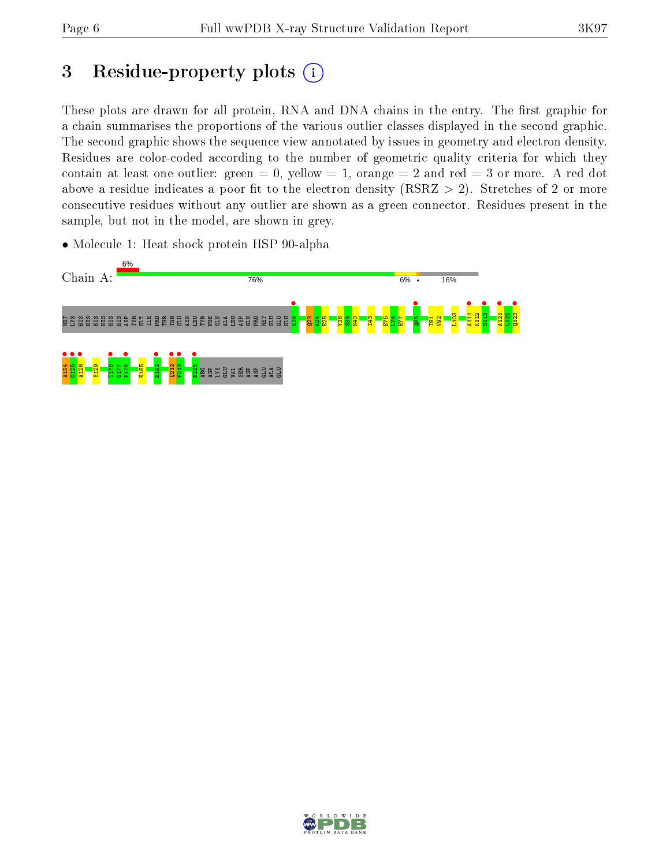# 3 Residue-property plots  $(i)$

These plots are drawn for all protein, RNA and DNA chains in the entry. The first graphic for a chain summarises the proportions of the various outlier classes displayed in the second graphic. The second graphic shows the sequence view annotated by issues in geometry and electron density. Residues are color-coded according to the number of geometric quality criteria for which they contain at least one outlier: green  $= 0$ , yellow  $= 1$ , orange  $= 2$  and red  $= 3$  or more. A red dot above a residue indicates a poor fit to the electron density (RSRZ  $> 2$ ). Stretches of 2 or more consecutive residues without any outlier are shown as a green connector. Residues present in the sample, but not in the model, are shown in grey.

• Molecule 1: Heat shock protein HSP 90-alpha



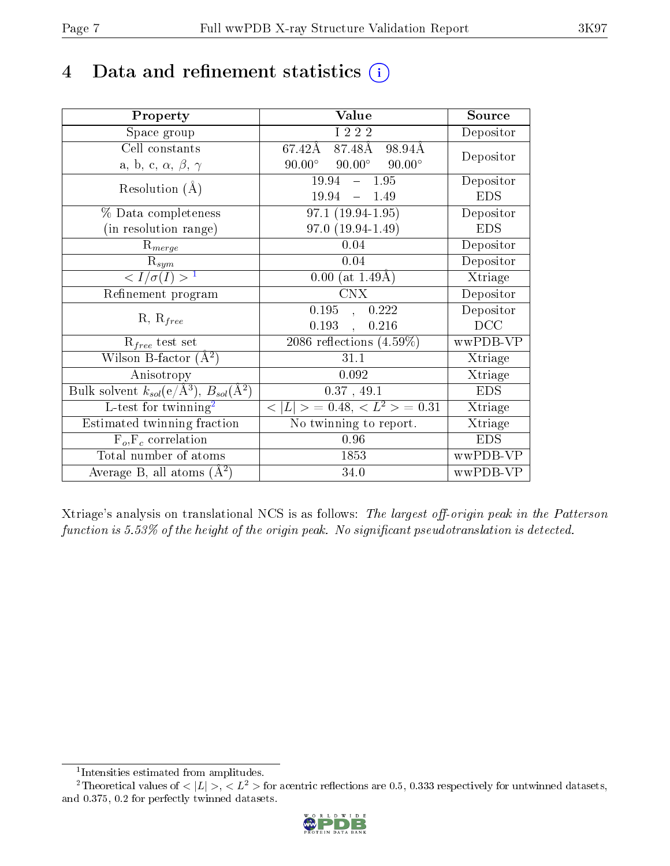# 4 Data and refinement statistics  $(i)$

| Property                                                                | Value                                           | Source     |
|-------------------------------------------------------------------------|-------------------------------------------------|------------|
| Space group                                                             | I 2 2 2                                         | Depositor  |
| Cell constants                                                          | 87.48Å<br>67.42Å<br>98.94Å                      | Depositor  |
| a, b, c, $\alpha$ , $\beta$ , $\gamma$                                  | $90.00^\circ$<br>$90.00^\circ$<br>$90.00^\circ$ |            |
| Resolution $(A)$                                                        | $-1.95$<br>19.94                                | Depositor  |
|                                                                         | 19.94<br>1.49<br>$\frac{1}{2}$                  | <b>EDS</b> |
| % Data completeness                                                     | $97.1(19.94-1.95)$                              | Depositor  |
| (in resolution range)                                                   | $97.0(19.94-1.49)$                              | <b>EDS</b> |
| $R_{merge}$                                                             | 0.04                                            | Depositor  |
| $\mathrm{R}_{sym}$                                                      | 0.04                                            | Depositor  |
| $\langle I/\sigma(I) \rangle^{-1}$                                      | $0.00$ (at 1.49Å)                               | Xtriage    |
| Refinement program                                                      | <b>CNX</b>                                      | Depositor  |
| $R, R_{free}$                                                           | 0.195<br>0.222<br>$\ddot{\phantom{a}}$          | Depositor  |
|                                                                         | 0.193<br>0.216<br>$\ddot{\phantom{a}}$          | DCC        |
| $\mathcal{R}_{free}$ test set                                           | $2086$ reflections $(4.59\%)$                   | wwPDB-VP   |
| Wilson B-factor $(A^2)$                                                 | 31.1                                            | Xtriage    |
| Anisotropy                                                              | 0.092                                           | Xtriage    |
| Bulk solvent $k_{sol}(\mathrm{e}/\mathrm{A}^3),\,B_{sol}(\mathrm{A}^2)$ | 0.37, 49.1                                      | <b>EDS</b> |
| L-test for twinning <sup>2</sup>                                        | $< L >$ = 0.48, $< L2 >$ = 0.31                 | Xtriage    |
| Estimated twinning fraction                                             | No twinning to report.                          | Xtriage    |
| $F_o, F_c$ correlation                                                  | 0.96                                            | <b>EDS</b> |
| Total number of atoms                                                   | 1853                                            | wwPDB-VP   |
| Average B, all atoms $(A^2)$                                            | 34.0                                            | wwPDB-VP   |

Xtriage's analysis on translational NCS is as follows: The largest off-origin peak in the Patterson function is  $5.53\%$  of the height of the origin peak. No significant pseudotranslation is detected.

<sup>&</sup>lt;sup>2</sup>Theoretical values of  $\langle |L| \rangle$ ,  $\langle L^2 \rangle$  for acentric reflections are 0.5, 0.333 respectively for untwinned datasets, and 0.375, 0.2 for perfectly twinned datasets.



<span id="page-6-1"></span><span id="page-6-0"></span><sup>1</sup> Intensities estimated from amplitudes.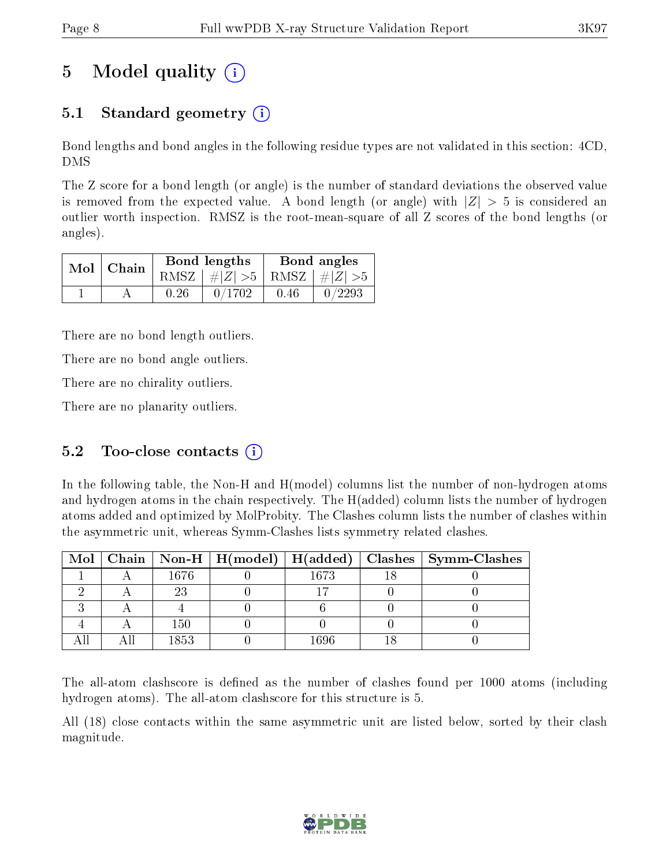# 5 Model quality  $(i)$

### 5.1 Standard geometry  $(i)$

Bond lengths and bond angles in the following residue types are not validated in this section: 4CD, DMS

The Z score for a bond length (or angle) is the number of standard deviations the observed value is removed from the expected value. A bond length (or angle) with  $|Z| > 5$  is considered an outlier worth inspection. RMSZ is the root-mean-square of all Z scores of the bond lengths (or angles).

| $Mol$ Chain |      | Bond lengths                    | Bond angles |        |  |
|-------------|------|---------------------------------|-------------|--------|--|
|             |      | RMSZ $ #Z  > 5$ RMSZ $ #Z  > 5$ |             |        |  |
|             | 0.26 | 0/1702                          | 0.46        | 0/2293 |  |

There are no bond length outliers.

There are no bond angle outliers.

There are no chirality outliers.

There are no planarity outliers.

### 5.2 Too-close contacts  $(i)$

In the following table, the Non-H and H(model) columns list the number of non-hydrogen atoms and hydrogen atoms in the chain respectively. The H(added) column lists the number of hydrogen atoms added and optimized by MolProbity. The Clashes column lists the number of clashes within the asymmetric unit, whereas Symm-Clashes lists symmetry related clashes.

|  |       |      | Mol   Chain   Non-H   H(model)   H(added)   Clashes   Symm-Clashes |
|--|-------|------|--------------------------------------------------------------------|
|  | 1676  | 1673 |                                                                    |
|  |       |      |                                                                    |
|  |       |      |                                                                    |
|  | 150   |      |                                                                    |
|  | 1853. | 1696 |                                                                    |

The all-atom clashscore is defined as the number of clashes found per 1000 atoms (including hydrogen atoms). The all-atom clashscore for this structure is 5.

All (18) close contacts within the same asymmetric unit are listed below, sorted by their clash magnitude.

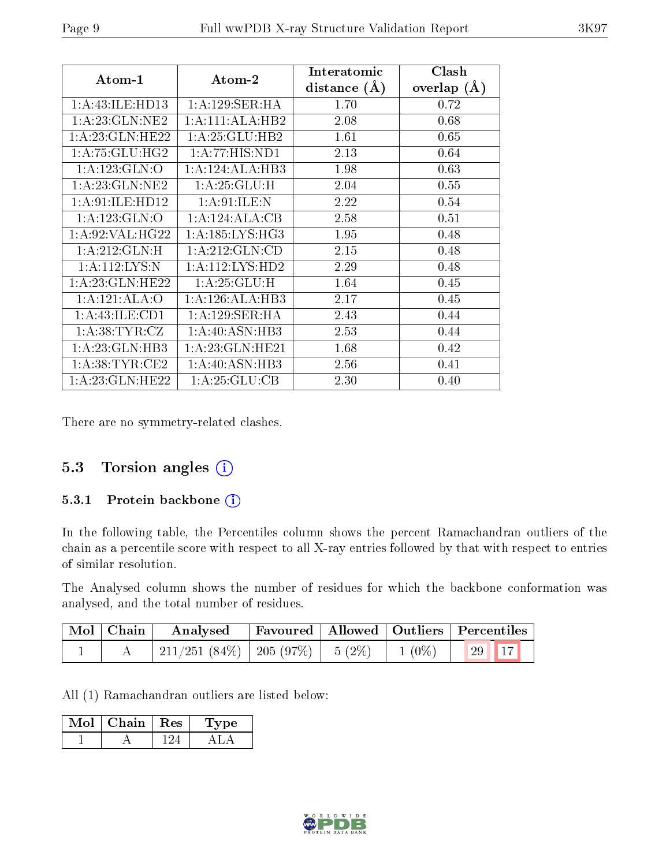| Atom-1             | Atom-2              | Interatomic<br>distance $(A)$ | Clash<br>overlap $(A)$ |
|--------------------|---------------------|-------------------------------|------------------------|
| 1:A:43:ILE:HD13    | 1: A:129: SER: HA   | 1.70                          | 0.72                   |
| 1:A:23:GLN:NE2     | 1:A:111:ALA:HB2     | 2.08                          | 0.68                   |
| 1: A:23: GLN: HE22 | 1: A:25: GLU:HB2    | 1.61                          | 0.65                   |
| 1: A:75: GLU:HG2   | 1:A:77:HIS:ND1      | 2.13                          | 0.64                   |
| 1:A:123:GLN:O      | 1:A:124:ALA:HB3     | 1.98                          | 0.63                   |
| 1: A:23: GLN:NE2   | 1:A:25:GLU:H        | 2.04                          | 0.55                   |
| 1: A:91: ILE: HD12 | 1:A:91:ILE:N        | 2.22                          | 0.54                   |
| 1:A:123:GLN:O      | 1:A:124:ALA:CB      | 2.58                          | 0.51                   |
| 1: A:92: VAL:HG22  | 1: A: 185: LYS: HG3 | 1.95                          | 0.48                   |
| 1: A:212: GLN:H    | 1: A:212: GLN:CD    | 2.15                          | 0.48                   |
| 1: A:112:LYS:N     | 1: A: 112: LYS: HD2 | 2.29                          | 0.48                   |
| 1: A:23: GLN: HE22 | 1:A:25:GLU:H        | 1.64                          | 0.45                   |
| 1:A:121:ALA:O      | 1:A:126:ALA:HB3     | 2.17                          | 0.45                   |
| 1: A: 43: ILE: CD1 | 1: A:129: SER: HA   | 2.43                          | 0.44                   |
| 1: A: 38: TYR: CZ  | 1:A:40:ASN:HB3      | 2.53                          | 0.44                   |
| 1:A:23:GLN:HB3     | 1: A:23: GLN: HE21  | 1.68                          | 0.42                   |
| 1: A:38:TYR:CE2    | 1:A:40:ASN:HB3      | 2.56                          | 0.41                   |
| 1: A:23: GLN: HE22 | 1: A:25: GLU:CB     | 2.30                          | 0.40                   |

There are no symmetry-related clashes.

#### 5.3 Torsion angles (i)

#### 5.3.1 Protein backbone (i)

In the following table, the Percentiles column shows the percent Ramachandran outliers of the chain as a percentile score with respect to all X-ray entries followed by that with respect to entries of similar resolution.

The Analysed column shows the number of residues for which the backbone conformation was analysed, and the total number of residues.

| Mol Chain | Analysed                                          |  |          | Favoured   Allowed   Outliers   Percentiles |
|-----------|---------------------------------------------------|--|----------|---------------------------------------------|
|           | $\frac{1}{211}/251$ (84\%)   205 (97\%)   5 (2\%) |  | $1(0\%)$ | $\sqrt{17}$<br>$\left(29\right)$            |

All (1) Ramachandran outliers are listed below:

| Mol | $\mid$ Chain $\mid$ Res | 'Type |
|-----|-------------------------|-------|
|     |                         |       |

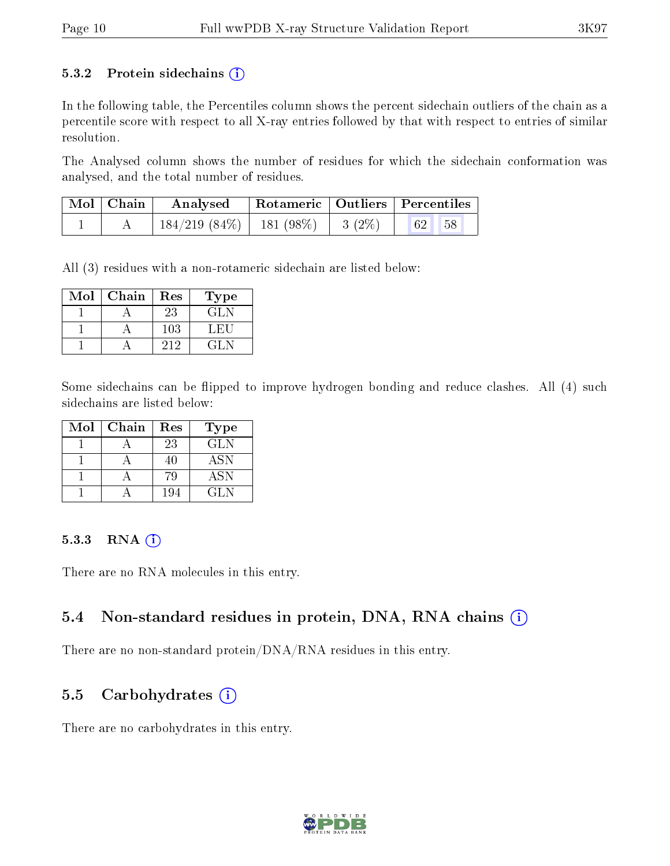#### 5.3.2 Protein sidechains  $(i)$

In the following table, the Percentiles column shows the percent sidechain outliers of the chain as a percentile score with respect to all X-ray entries followed by that with respect to entries of similar resolution.

The Analysed column shows the number of residues for which the sidechain conformation was analysed, and the total number of residues.

| $\mid$ Mol $\mid$ Chain $\mid$ | Analysed   Rotameric   Outliers   Percentiles             |  |  |  |
|--------------------------------|-----------------------------------------------------------|--|--|--|
|                                | $\frac{184}{219}$ (84\%)   181 (98\%)   3 (2\%)   62   58 |  |  |  |

All (3) residues with a non-rotameric sidechain are listed below:

| $\operatorname{Mol}$ | Chain | $\operatorname{Res}% \left( \mathcal{N}\right) \equiv\operatorname{Res}(\mathcal{N}_{0})\cap\mathcal{N}_{1}$ | Type   |
|----------------------|-------|--------------------------------------------------------------------------------------------------------------|--------|
|                      |       | 23                                                                                                           | GLN    |
|                      |       | 103                                                                                                          | L. HIL |
|                      |       | 212                                                                                                          | 421 N  |

Some sidechains can be flipped to improve hydrogen bonding and reduce clashes. All (4) such sidechains are listed below:

| Mol | Chain | Res | <b>Type</b> |
|-----|-------|-----|-------------|
|     |       | 23  | GLN         |
|     |       | 40  | <b>ASN</b>  |
|     |       | 70  | ASN         |
|     |       | 194 | GL N        |

#### 5.3.3 RNA (i)

There are no RNA molecules in this entry.

#### 5.4 Non-standard residues in protein, DNA, RNA chains (i)

There are no non-standard protein/DNA/RNA residues in this entry.

#### 5.5 Carbohydrates  $(i)$

There are no carbohydrates in this entry.

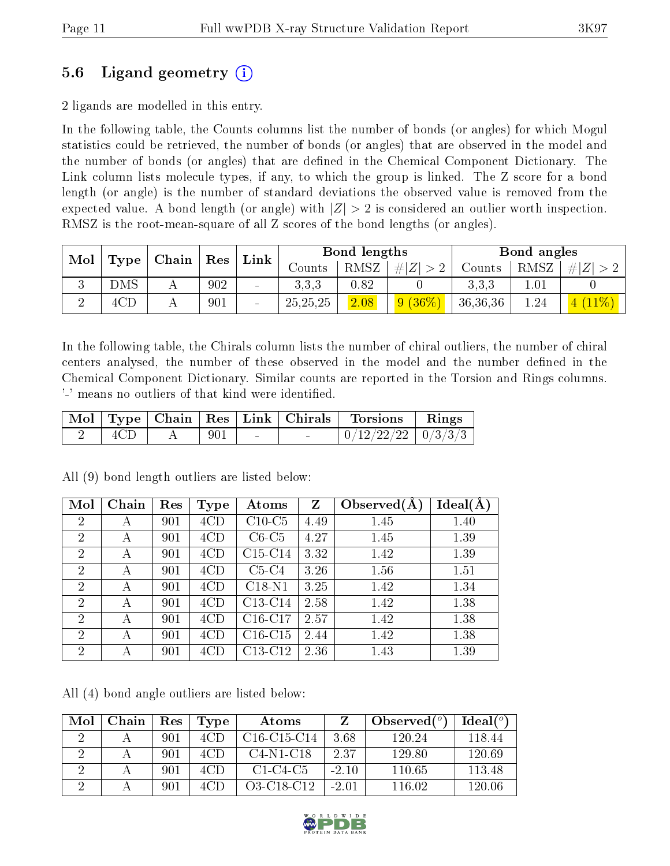### 5.6 Ligand geometry (i)

2 ligands are modelled in this entry.

In the following table, the Counts columns list the number of bonds (or angles) for which Mogul statistics could be retrieved, the number of bonds (or angles) that are observed in the model and the number of bonds (or angles) that are dened in the Chemical Component Dictionary. The Link column lists molecule types, if any, to which the group is linked. The Z score for a bond length (or angle) is the number of standard deviations the observed value is removed from the expected value. A bond length (or angle) with  $|Z| > 2$  is considered an outlier worth inspection. RMSZ is the root-mean-square of all Z scores of the bond lengths (or angles).

| Mol | Type |                                   |     | Link            |            | Bond lengths |           |          | Bond angles |   |
|-----|------|-----------------------------------|-----|-----------------|------------|--------------|-----------|----------|-------------|---|
|     |      | $\vert$ Chain $\vert$ Res $\vert$ |     |                 | Counts     | RMSZ         | $\# Z $   | Counts   | RMSZ        | # |
|     | DMS  |                                   | 902 | $\sim$          | 3.3,3      | 0.82         |           | 3.3,3    |             |   |
|     | 4CD  |                                   | 901 | $\qquad \qquad$ | 25, 25, 25 | 2.08         | $9(36\%)$ | 36,36,36 | 1.24        |   |

In the following table, the Chirals column lists the number of chiral outliers, the number of chiral centers analysed, the number of these observed in the model and the number defined in the Chemical Component Dictionary. Similar counts are reported in the Torsion and Rings columns. '-' means no outliers of that kind were identified.

|  |     |        | Mol   Type   Chain   Res   Link   Chirals | Torsions                 | $\vert$ Rings |
|--|-----|--------|-------------------------------------------|--------------------------|---------------|
|  | 901 | $\sim$ |                                           | $0/12/22/22$   $0/3/3/3$ |               |

| Mol            | Chain | Res | <b>Type</b> | Atoms     | Z    | Observed $(A)$ | $Ideal(\AA)$ |
|----------------|-------|-----|-------------|-----------|------|----------------|--------------|
| $\overline{2}$ | А     | 901 | 4CD         | $C10-C5$  | 4.49 | 1.45           | 1.40         |
| $\overline{2}$ | А     | 901 | 4CD         | $C6-C5$   | 4.27 | 1.45           | 1.39         |
| $\overline{2}$ | А     | 901 | 4CD         | $C15-C14$ | 3.32 | 1.42           | 1.39         |
| $\overline{2}$ | А     | 901 | 4CD         | $C5-C4$   | 3.26 | 1.56           | 1.51         |
| $\overline{2}$ | А     | 901 | 4CD         | $C18-N1$  | 3.25 | 1.42           | 1.34         |
| $\overline{2}$ | А     | 901 | 4CD         | $C13-C14$ | 2.58 | 1.42           | 1.38         |
| $\overline{2}$ | А     | 901 | 4CD         | $C16-C17$ | 2.57 | 1.42           | 1.38         |
| $\overline{2}$ | А     | 901 | 4CD         | $C16-C15$ | 2.44 | 1.42           | 1.38         |
| $\overline{2}$ | А     | 901 | 4CD         | $C13-C12$ | 2.36 | 1.43           | 1.39         |

All (9) bond length outliers are listed below:

All (4) bond angle outliers are listed below:

| Mol | Chain | Res | Type | Atoms         |         | Observed $(°)$ | $Ideal(^o)$ |
|-----|-------|-----|------|---------------|---------|----------------|-------------|
|     |       | 901 | 4CD  | $C16-C15-C14$ | 3.68    | 120.24         | 118.44      |
|     |       | 901 | 4CD. | $C4-N1-C18$   | 2.37    | 129.80         | 120.69      |
|     |       | 901 | 4CD  | $C1-C4-C5$    | $-2.10$ | 110.65         | 113.48      |
|     |       | 901 |      | O3-C18-C12    | $-201$  | 116 02         | 120.06      |

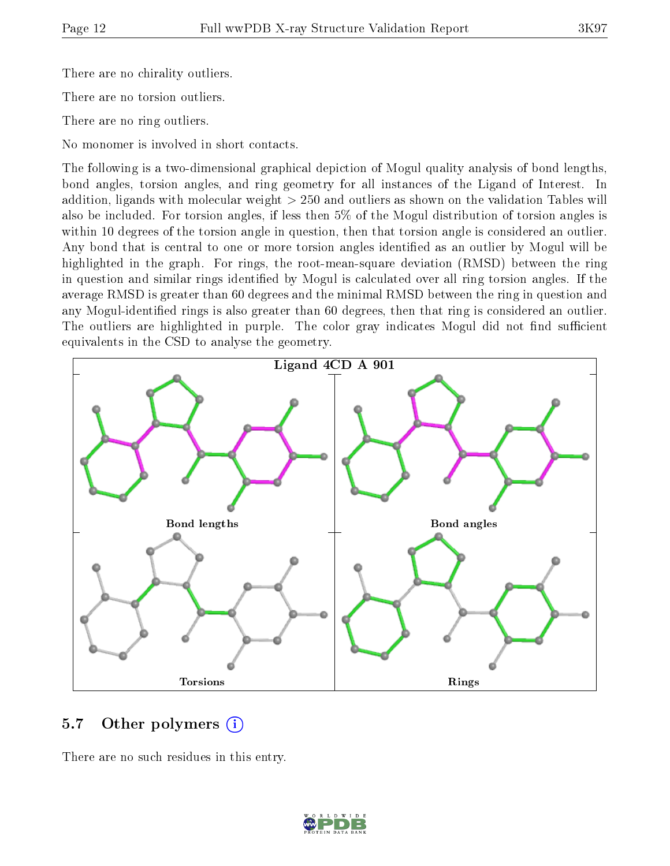There are no chirality outliers.

There are no torsion outliers.

There are no ring outliers.

No monomer is involved in short contacts.

The following is a two-dimensional graphical depiction of Mogul quality analysis of bond lengths, bond angles, torsion angles, and ring geometry for all instances of the Ligand of Interest. In addition, ligands with molecular weight > 250 and outliers as shown on the validation Tables will also be included. For torsion angles, if less then 5% of the Mogul distribution of torsion angles is within 10 degrees of the torsion angle in question, then that torsion angle is considered an outlier. Any bond that is central to one or more torsion angles identified as an outlier by Mogul will be highlighted in the graph. For rings, the root-mean-square deviation (RMSD) between the ring in question and similar rings identified by Mogul is calculated over all ring torsion angles. If the average RMSD is greater than 60 degrees and the minimal RMSD between the ring in question and any Mogul-identified rings is also greater than 60 degrees, then that ring is considered an outlier. The outliers are highlighted in purple. The color gray indicates Mogul did not find sufficient equivalents in the CSD to analyse the geometry.



#### 5.7 [O](https://www.wwpdb.org/validation/2017/XrayValidationReportHelp#nonstandard_residues_and_ligands)ther polymers  $(i)$

There are no such residues in this entry.

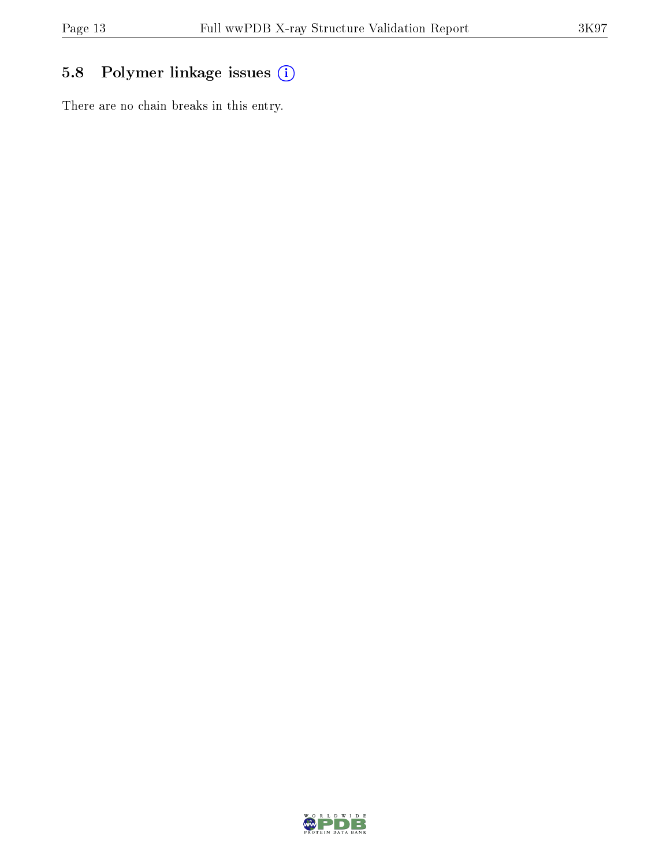## 5.8 Polymer linkage issues (i)

There are no chain breaks in this entry.

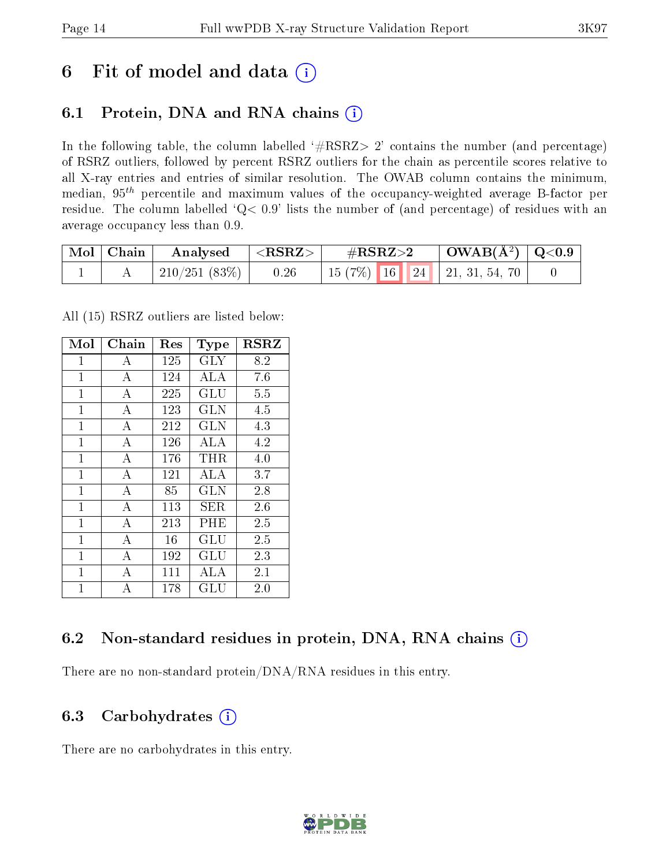# 6 Fit of model and data  $(i)$

### 6.1 Protein, DNA and RNA chains  $(i)$

In the following table, the column labelled  $#RSRZ> 2'$  contains the number (and percentage) of RSRZ outliers, followed by percent RSRZ outliers for the chain as percentile scores relative to all X-ray entries and entries of similar resolution. The OWAB column contains the minimum, median,  $95<sup>th</sup>$  percentile and maximum values of the occupancy-weighted average B-factor per residue. The column labelled ' $Q< 0.9$ ' lists the number of (and percentage) of residues with an average occupancy less than 0.9.

| $\mid$ Mol $\mid$ Chain | Analysed      | $^\shortparallel < \text{RSRZ} >$ | $\rm \#RSRZ{>}2$                   | $\mid$ OWAB(Å <sup>2</sup> ) $\mid$ Q<0.9 |  |
|-------------------------|---------------|-----------------------------------|------------------------------------|-------------------------------------------|--|
|                         | 210/251 (83%) | 0.26                              | 15 (7%)   16   24   21, 31, 54, 70 |                                           |  |

All (15) RSRZ outliers are listed below:

| Mol            | Chain          | $\operatorname{Res}% \left( \mathcal{N}\right) \equiv\operatorname{Res}(\mathcal{N}_{0},\mathcal{N}_{0})$ | <b>Type</b> | <b>RSRZ</b> |
|----------------|----------------|-----------------------------------------------------------------------------------------------------------|-------------|-------------|
| 1              | А              | 125                                                                                                       | <b>GLY</b>  | 8.2         |
| $\overline{1}$ | $\bf{A}$       | 124                                                                                                       | ALA         | 7.6         |
| $\mathbf{1}$   | А              | 225                                                                                                       | GLU         | 5.5         |
| 1              | А              | 123                                                                                                       | GLN         | 4.5         |
| $\mathbf{1}$   | A              | 212                                                                                                       | <b>GLN</b>  | 4.3         |
| $\mathbf{1}$   | А              | 126                                                                                                       | ALA         | 4.2         |
| $\mathbf{1}$   | А              | 176                                                                                                       | THR.        | 4.0         |
| $\overline{1}$ | $\bf{A}$       | 121                                                                                                       | ALA         | 3.7         |
| $\mathbf{1}$   | $\mathbf{A}$   | 85                                                                                                        | <b>GLN</b>  | 2.8         |
| $\overline{1}$ | А              | 113                                                                                                       | SER.        | 2.6         |
| $\overline{1}$ | $\bf{A}$       | 213                                                                                                       | PHE         | 2.5         |
| $\overline{1}$ | $\overline{A}$ | 16                                                                                                        | GLU         | 2.5         |
| $\overline{1}$ | А              | 192                                                                                                       | GLU         | 2.3         |
| $\mathbf{1}$   | $\overline{A}$ | 111                                                                                                       | ALA         | 2.1         |
| $\overline{1}$ | А              | 178                                                                                                       | GLU         | 2.0         |

### 6.2 Non-standard residues in protein, DNA, RNA chains (i)

There are no non-standard protein/DNA/RNA residues in this entry.

#### 6.3 Carbohydrates  $(i)$

There are no carbohydrates in this entry.